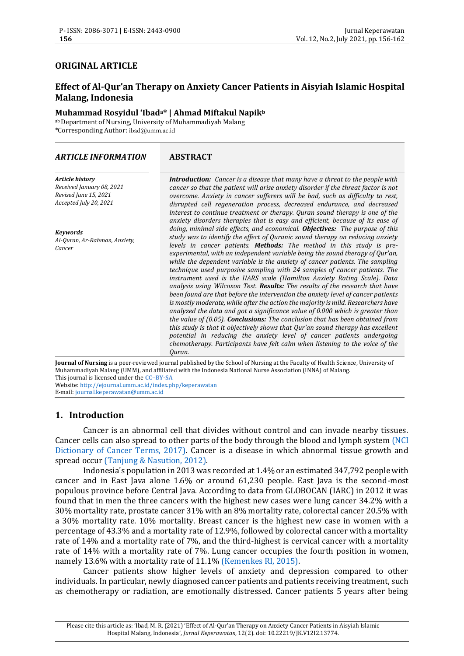## **ORIGINAL ARTICLE**

# **Effect of Al-Qur'an Therapy on Anxiety Cancer Patients in Aisyiah Islamic Hospital Malang, Indonesia**

# **Muhammad Rosyidul 'Ibada\* | Ahmad Miftakul Napik<sup>b</sup>**

abDepartment of Nursing, University of Muhammadiyah Malang \*Corresponding Author: ibad@umm.ac.id

#### *ARTICLE INFORMATION* **ABSTRACT**

*Article history Received January 08, 2021 Revised June 15, 2021 Accepted July 20, 2021*

*Keywords Al-Quran, Ar-Rahman, Anxiety, Cancer* 

*Introduction: Cancer is a disease that many have a threat to the people with cancer so that the patient will arise anxiety disorder if the threat factor is not overcome. Anxiety in cancer sufferers will be bad, such as difficulty to rest, disrupted cell regeneration process, decreased endurance, and decreased interest to continue treatment or therapy. Quran sound therapy is one of the anxiety disorders therapies that is easy and efficient, because of its ease of doing, minimal side effects, and economical. Objectives: The purpose of this study was to identify the effect of Quranic sound therapy on reducing anxiety levels in cancer patients. Methods: The method in this study is preexperimental, with an independent variable being the sound therapy of Qur'an, while the dependent variable is the anxiety of cancer patients. The sampling technique used purposive sampling with 24 samples of cancer patients. The instrument used is the HARS scale (Hamilton Anxiety Rating Scale). Data analysis using Wilcoxon Test. Results: The results of the research that have been found are that before the intervention the anxiety level of cancer patients is mostly moderate, while after the action the majority is mild. Researchers have analyzed the data and got a significance value of 0.000 which is greater than the value of (0.05). Conclusions: The conclusion that has been obtained from this study is that it objectively shows that Qur'an sound therapy has excellent potential in reducing the anxiety level of cancer patients undergoing chemotherapy. Participants have felt calm when listening to the voice of the Quran.*

**Journal of Nursing** is a peer-reviewed journal published by the School of Nursing at the Faculty of Health Science, University of Muhammadiyah Malang (UMM), and affiliated with the Indonesia National Nurse Association (INNA) of Malang. This journal is licensed under the **CC–[BY-SA](http://creativecommons.org/licenses/by-sa/4.0/)**

Website[: http://ejournal.umm.ac.id/index.php/keperawatan](http://ejournal.umm.ac.id/index.php/keperawatan) E-mail[: journal.keperawatan@umm.ac.id](mailto:jurnal.keperawatan@umm.ac.id)

# **1. Introduction**

Cancer is an abnormal cell that divides without control and can invade nearby tissues. Cancer cells can also spread to other parts of the body through the blood and lymph system [\(NCI](#page-6-0)  [Dictionary of Cancer Terms, 2017\).](#page-6-0) Cancer is a disease in which abnormal tissue growth and spread occur [\(Tanjung & Nasution, 2012\).](#page-6-1)

Indonesia's population in 2013 was recorded at 1.4% or an estimated 347,792 people with cancer and in East Java alone 1.6% or around 61,230 people. East Java is the second-most populous province before Central Java. According to data from GLOBOCAN (IARC) in 2012 it was found that in men the three cancers with the highest new cases were lung cancer 34.2% with a 30% mortality rate, prostate cancer 31% with an 8% mortality rate, colorectal cancer 20.5% with a 30% mortality rate. 10% mortality. Breast cancer is the highest new case in women with a percentage of 43.3% and a mortality rate of 12.9%, followed by colorectal cancer with a mortality rate of 14% and a mortality rate of 7%, and the third-highest is cervical cancer with a mortality rate of 14% with a mortality rate of 7%. Lung cancer occupies the fourth position in women, namely 13.6% with a mortality rate of 11.1% [\(Kemenkes RI, 2015\).](#page-6-2)

Cancer patients show higher levels of anxiety and depression compared to other individuals. In particular, newly diagnosed cancer patients and patients receiving treatment, such as chemotherapy or radiation, are emotionally distressed. Cancer patients 5 years after being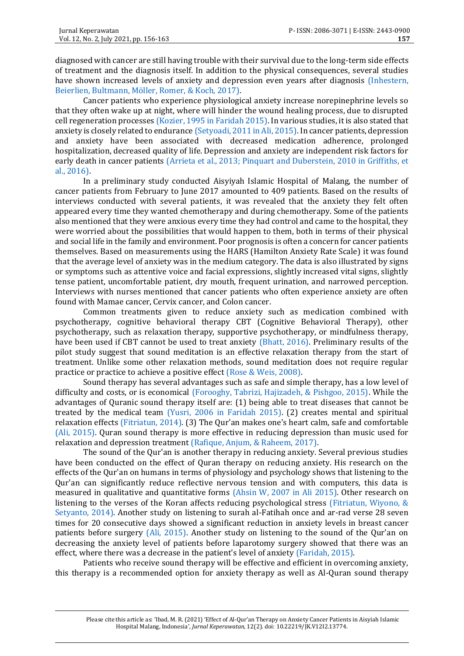diagnosed with cancer are still having trouble with their survival due to the long-term side effects of treatment and the diagnosis itself. In addition to the physical consequences, several studies have shown increased levels of anxiety and depression even years after diagnosis (Inhestern, [Beierlien, Bultmann, Möller, Romer, & Koch, 2017\).](#page-5-0)

Cancer patients who experience physiological anxiety increase norepinephrine levels so that they often wake up at night, where will hinder the wound healing process, due to disrupted cell regeneration processe[s \(Kozier, 1995 in Faridah 2015\).](#page-5-1) In various studies, it is also stated that anxiety is closely related to enduranc[e \(Setyoadi, 2011 in Ali, 2015\).](#page-5-2) In cancer patients, depression and anxiety have been associated with decreased medication adherence, prolonged hospitalization, decreased quality of life. Depression and anxiety are independent risk factors for early death in cancer patients [\(Arrieta et al., 2013; Pinquart and Duberstein,](#page-5-3) 2010 in Griffiths, et [al., 2016\).](#page-5-3)

In a preliminary study conducted Aisyiyah Islamic Hospital of Malang, the number of cancer patients from February to June 2017 amounted to 409 patients. Based on the results of interviews conducted with several patients, it was revealed that the anxiety they felt often appeared every time they wanted chemotherapy and during chemotherapy. Some of the patients also mentioned that they were anxious every time they had control and came to the hospital, they were worried about the possibilities that would happen to them, both in terms of their physical and social life in the family and environment. Poor prognosis is often a concern for cancer patients themselves. Based on measurements using the HARS (Hamilton Anxiety Rate Scale) it was found that the average level of anxiety was in the medium category. The data is also illustrated by signs or symptoms such as attentive voice and facial expressions, slightly increased vital signs, slightly tense patient, uncomfortable patient, dry mouth, frequent urination, and narrowed perception. Interviews with nurses mentioned that cancer patients who often experience anxiety are often found with Mamae cancer, Cervix cancer, and Colon cancer.

Common treatments given to reduce anxiety such as medication combined with psychotherapy, cognitive behavioral therapy CBT (Cognitive Behavioral Therapy), other psychotherapy, such as relaxation therapy, supportive psychotherapy, or mindfulness therapy, have been used if CBT cannot be used to treat anxiety [\(Bhatt, 2016\).](#page-5-4) Preliminary results of the pilot study suggest that sound meditation is an effective relaxation therapy from the start of treatment. Unlike some other relaxation methods, sound meditation does not require regular practice or practice to achieve a positive effect [\(Rose & Weis, 2008\).](#page-6-3)

Sound therapy has several advantages such as safe and simple therapy, has a low level of difficulty and costs, or is economical [\(Forooghy, Tabrizi, Hajizadeh, & Pishgoo, 2015\).](#page-5-5) While the advantages of Quranic sound therapy itself are: (1) being able to treat diseases that cannot be treated by the medical team [\(Yusri, 2006 in Faridah 2015\).](#page-5-1) (2) creates mental and spiritual relaxation effects [\(Fitriatun, 2014\).](#page-5-6) (3) The Qur'an makes one's heart calm, safe and comfortable [\(Ali, 2015\).](#page-5-2) Quran sound therapy is more effective in reducing depression than music used for relaxation and depression treatment [\(Rafique, Anjum, & Raheem, 2017\).](#page-6-4)

The sound of the Qur'an is another therapy in reducing anxiety. Several previous studies have been conducted on the effect of Quran therapy on reducing anxiety. His research on the effects of the Qur'an on humans in terms of physiology and psychology shows that listening to the Qur'an can significantly reduce reflective nervous tension and with computers, this data is measured in qualitative and quantitative forms [\(Ahsin W, 2007 in Ali 2015\).](#page-5-2) Other research on listening to the verses of the Koran affects reducing psychological stress [\(Fitriatun, Wiyono, &](#page-5-6)  [Setyanto, 2014\).](#page-5-6) Another study on listening to surah al-Fatihah once and ar-rad verse 28 seven times for 20 consecutive days showed a significant reduction in anxiety levels in breast cancer patients before surgery [\(Ali, 2015\).](#page-5-2) Another study on listening to the sound of the Qur'an on decreasing the anxiety level of patients before laparotomy surgery showed that there was an effect, where there was a decrease in the patient's level of anxiety [\(Faridah, 2015\).](#page-5-1)

Patients who receive sound therapy will be effective and efficient in overcoming anxiety, this therapy is a recommended option for anxiety therapy as well as Al-Quran sound therapy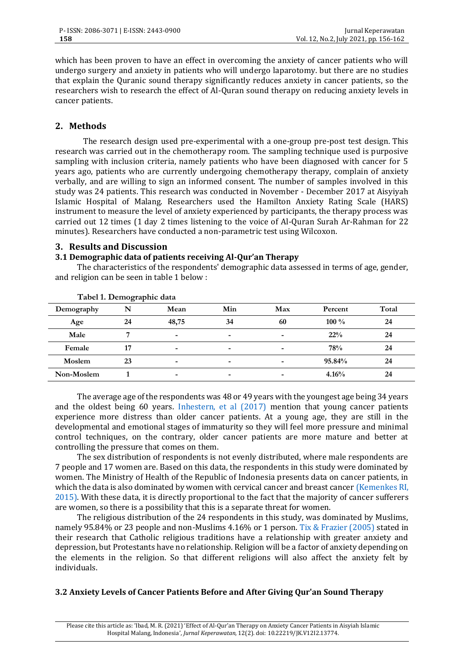which has been proven to have an effect in overcoming the anxiety of cancer patients who will undergo surgery and anxiety in patients who will undergo laparotomy. but there are no studies that explain the Quranic sound therapy significantly reduces anxiety in cancer patients, so the researchers wish to research the effect of Al-Quran sound therapy on reducing anxiety levels in cancer patients.

# **2. Methods**

The research design used pre-experimental with a one-group pre-post test design. This research was carried out in the chemotherapy room. The sampling technique used is purposive sampling with inclusion criteria, namely patients who have been diagnosed with cancer for 5 years ago, patients who are currently undergoing chemotherapy therapy, complain of anxiety verbally, and are willing to sign an informed consent. The number of samples involved in this study was 24 patients. This research was conducted in November - December 2017 at Aisyiyah Islamic Hospital of Malang. Researchers used the Hamilton Anxiety Rating Scale (HARS) instrument to measure the level of anxiety experienced by participants, the therapy process was carried out 12 times (1 day 2 times listening to the voice of Al-Quran Surah Ar-Rahman for 22 minutes). Researchers have conducted a non-parametric test using Wilcoxon.

## **3. Results and Discussion**

### **3.1 Demographic data of patients receiving Al-Qur'an Therapy**

The characteristics of the respondents' demographic data assessed in terms of age, gender, and religion can be seen in table 1 below :

|            | I abel I. Demographic data |       |     |     |         |       |
|------------|----------------------------|-------|-----|-----|---------|-------|
| Demography | N                          | Mean  | Min | Max | Percent | Total |
| Age        | 24                         | 48,75 | 34  | 60  | $100\%$ | 24    |
| Male       | −                          | ۰     | -   | ۰   | 22%     | 24    |
| Female     | 17                         | ۰     | -   |     | 78%     | 24    |
| Moslem     | 23                         | ۰     | ۰   | ۰   | 95.84%  | 24    |
| Non-Moslem |                            | ۰     | -   |     | 4.16%   | 24    |

**Tabel 1. Demographic data**

The average age of the respondents was 48 or 49 years with the youngest age being 34 years and the oldest being 60 years. [Inhestern, et al \(2017\)](#page-5-0) mention that young cancer patients experience more distress than older cancer patients. At a young age, they are still in the developmental and emotional stages of immaturity so they will feel more pressure and minimal control techniques, on the contrary, older cancer patients are more mature and better at controlling the pressure that comes on them.

The sex distribution of respondents is not evenly distributed, where male respondents are 7 people and 17 women are. Based on this data, the respondents in this study were dominated by women. The Ministry of Health of the Republic of Indonesia presents data on cancer patients, in which the data is also dominated by women with cervical cancer and breast cancer (Kemenkes RI, [2015\).](#page-6-2) With these data, it is directly proportional to the fact that the majority of cancer sufferers are women, so there is a possibility that this is a separate threat for women.

The religious distribution of the 24 respondents in this study, was dominated by Muslims, namely 95.84% or 23 people and non-Muslims 4.16% or 1 person[. Tix & Frazier \(2005\)](#page-6-5) stated in their research that Catholic religious traditions have a relationship with greater anxiety and depression, but Protestants have no relationship. Religion will be a factor of anxiety depending on the elements in the religion. So that different religions will also affect the anxiety felt by individuals.

## **3.2 Anxiety Levels of Cancer Patients Before and After Giving Qur'an Sound Therapy**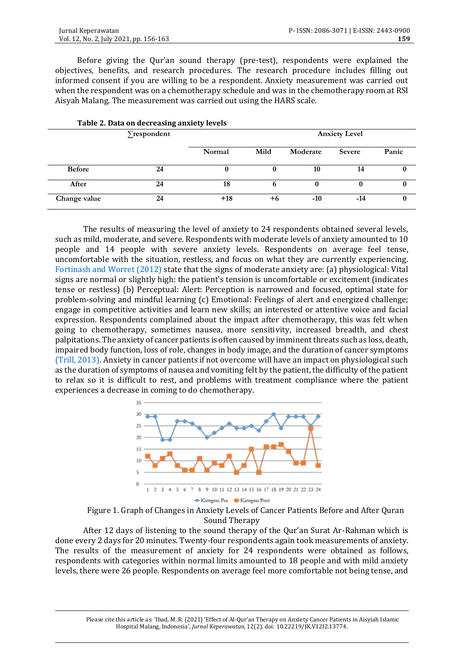Before giving the Qur'an sound therapy (pre-test), respondents were explained the objectives, benefits, and research procedures. The research procedure includes filling out informed consent if you are willing to be a respondent. Anxiety measurement was carried out when the respondent was on a chemotherapy schedule and was in the chemotherapy room at RSI Aisyah Malang. The measurement was carried out using the HARS scale.

| Table 2. Data on decreasing anxiety levels |                   |        |                      |          |               |       |  |  |
|--------------------------------------------|-------------------|--------|----------------------|----------|---------------|-------|--|--|
|                                            | $\sum$ respondent |        | <b>Anxiety Level</b> |          |               |       |  |  |
|                                            |                   | Normal | Mild                 | Moderate | <b>Severe</b> | Panic |  |  |
| <b>Before</b>                              | 24                |        |                      | 10       | 14            |       |  |  |
| After                                      | 24                | 18     | 6                    | $\bf{0}$ |               |       |  |  |
| Change value                               | 24                | $+18$  | +6                   | $-10$    | $-14$         | 0     |  |  |

The results of measuring the level of anxiety to 24 respondents obtained several levels, such as mild, moderate, and severe. Respondents with moderate levels of anxiety amounted to 10 people and 14 people with severe anxiety levels. Respondents on average feel tense, uncomfortable with the situation, restless, and focus on what they are currently experiencing. [Fortinash and Worret \(2012\)](#page-5-7) state that the signs of moderate anxiety are: (a) physiological: Vital signs are normal or slightly high: the patient's tension is uncomfortable or excitement (indicates tense or restless) (b) Perceptual: Alert: Perception is narrowed and focused, optimal state for problem-solving and mindful learning (c) Emotional: Feelings of alert and energized challenge; engage in competitive activities and learn new skills; an interested or attentive voice and facial expression. Respondents complained about the impact after chemotherapy, this was felt when going to chemotherapy, sometimes nausea, more sensitivity, increased breadth, and chest palpitations. The anxiety of cancer patients is often caused by imminent threats such as loss, death, impaired body function, loss of role, changes in body image, and the duration of cancer symptoms [\(Trill, 2013\).](#page-6-6) Anxiety in cancer patients if not overcome will have an impact on physiological such as the duration of symptoms of nausea and vomiting felt by the patient, the difficulty of the patient to relax so it is difficult to rest, and problems with treatment compliance where the patient experiences a decrease in coming to do chemotherapy.



Figure 1. Graph of Changes in Anxiety Levels of Cancer Patients Before and After Quran Sound Therapy

After 12 days of listening to the sound therapy of the Qur'an Surat Ar-Rahman which is done every 2 days for 20 minutes. Twenty-four respondents again took measurements of anxiety. The results of the measurement of anxiety for 24 respondents were obtained as follows, respondents with categories within normal limits amounted to 18 people and with mild anxiety levels, there were 26 people. Respondents on average feel more comfortable not being tense, and

Please cite this article as: 'Ibad, M. R. (2021) 'Effect of Al-[Qur'an Therapy on Anxiety Cancer Patients in Aisyiah Islamic](https://ejournal.umm.ac.id/index.php/keperawatan/article/view/13774)  [Hospital Malang, Indonesia](https://ejournal.umm.ac.id/index.php/keperawatan/article/view/13774)', *Jurnal Keperawatan*, 12(2). doi: 10.22219/JK.V12I2.13774.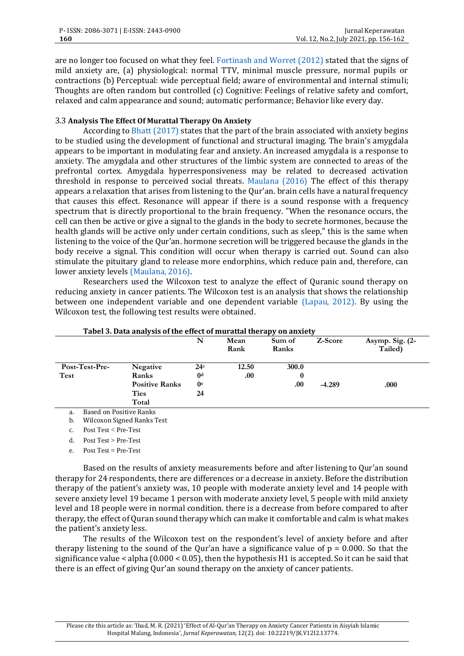are no longer too focused on what they feel. [Fortinash and Worret \(2012\)](#page-5-7) stated that the signs of mild anxiety are, (a) physiological: normal TTV, minimal muscle pressure, normal pupils or contractions (b) Perceptual: wide perceptual field; aware of environmental and internal stimuli; Thoughts are often random but controlled (c) Cognitive: Feelings of relative safety and comfort, relaxed and calm appearance and sound; automatic performance; Behavior like every day.

### 3.3 **Analysis The Effect Of Murattal Therapy On Anxiety**

According to [Bhatt \(2017\)](#page-6-7) states that the part of the brain associated with anxiety begins to be studied using the development of functional and structural imaging. The brain's amygdala appears to be important in modulating fear and anxiety. An increased amygdala is a response to anxiety. The amygdala and other structures of the limbic system are connected to areas of the prefrontal cortex. Amygdala hyperresponsiveness may be related to decreased activation threshold in response to perceived social threats. [Maulana \(2016\)](#page-6-7) The effect of this therapy appears a relaxation that arises from listening to the Qur'an. brain cells have a natural frequency that causes this effect. Resonance will appear if there is a sound response with a frequency spectrum that is directly proportional to the brain frequency. "When the resonance occurs, the cell can then be active or give a signal to the glands in the body to secrete hormones, because the health glands will be active only under certain conditions, such as sleep," this is the same when listening to the voice of the Qur'an. hormone secretion will be triggered because the glands in the body receive a signal. This condition will occur when therapy is carried out. Sound can also stimulate the pituitary gland to release more endorphins, which reduce pain and, therefore, can lower anxiety levels [\(Maulana, 2016\).](#page-6-7)

Researchers used the Wilcoxon test to analyze the effect of Quranic sound therapy on reducing anxiety in cancer patients. The Wilcoxon test is an analysis that shows the relationship between one independent variable and one dependent variable [\(Lapau, 2012\).](#page-6-8) By using the Wilcoxon test, the following test results were obtained.

|                                      |                       | N              | Mean<br>Rank | Sum of<br>Ranks | Z-Score  | Asymp. Sig. (2-<br>Tailed) |
|--------------------------------------|-----------------------|----------------|--------------|-----------------|----------|----------------------------|
| Post-Test-Pre-                       | Negative              | 24c            | 12.50        | 300.0           |          |                            |
| Test                                 | Ranks                 | $^{0d}$        | .00          | 0               |          |                            |
|                                      | <b>Positive Ranks</b> | 0 <sup>e</sup> |              | .00.            | $-4.289$ | .000                       |
|                                      | <b>Ties</b>           | 24             |              |                 |          |                            |
|                                      | Total                 |                |              |                 |          |                            |
| <b>Based on Positive Ranks</b><br>a. |                       |                |              |                 |          |                            |

#### **Tabel 3. Data analysis of the effect of murattal therapy on anxiety**

a. Based on Positive Ranks

b. Wilcoxon Signed Ranks Test

c. Post Test < Pre-Test

d. Post Test > Pre-Test

e. Post  $Test = Pre-Test$ 

Based on the results of anxiety measurements before and after listening to Qur'an sound therapy for 24 respondents, there are differences or a decrease in anxiety. Before the distribution therapy of the patient's anxiety was, 10 people with moderate anxiety level and 14 people with severe anxiety level 19 became 1 person with moderate anxiety level, 5 people with mild anxiety level and 18 people were in normal condition. there is a decrease from before compared to after therapy, the effect of Quran sound therapy which can make it comfortable and calm is what makes the patient's anxiety less.

The results of the Wilcoxon test on the respondent's level of anxiety before and after therapy listening to the sound of the Qur'an have a significance value of  $p = 0.000$ . So that the significance value  $\le$  alpha (0.000  $\le$  0.05), then the hypothesis H1 is accepted. So it can be said that there is an effect of giving Qur'an sound therapy on the anxiety of cancer patients.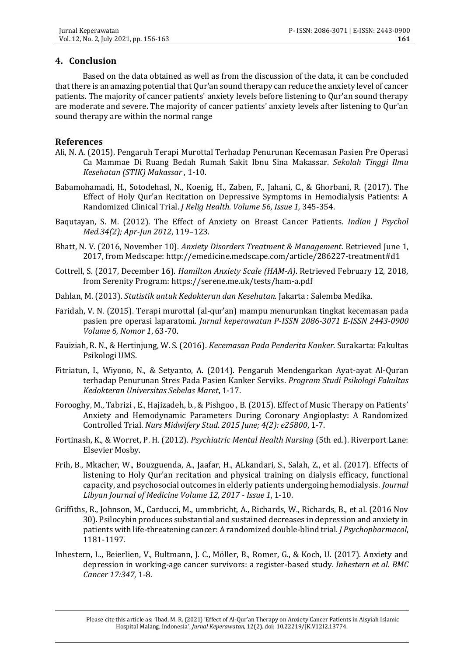# **4. Conclusion**

Based on the data obtained as well as from the discussion of the data, it can be concluded that there is an amazing potential that Qur'an sound therapy can reduce the anxiety level of cancer patients. The majority of cancer patients' anxiety levels before listening to Qur'an sound therapy are moderate and severe. The majority of cancer patients' anxiety levels after listening to Qur'an sound therapy are within the normal range

## **References**

- <span id="page-5-2"></span>Ali, N. A. (2015). Pengaruh Terapi Murottal Terhadap Penurunan Kecemasan Pasien Pre Operasi Ca Mammae Di Ruang Bedah Rumah Sakit Ibnu Sina Makassar. *Sekolah Tinggi Ilmu Kesehatan (STIK) Makassar* , 1-10.
- Babamohamadi, H., Sotodehasl, N., Koenig, H., Zaben, F., Jahani, C., & Ghorbani, R. (2017). The Effect of Holy Qur'an Recitation on Depressive Symptoms in Hemodialysis Patients: A Randomized Clinical Trial. *J Relig Health. Volume 56, Issue 1,* 345-354.
- Baqutayan, S. M. (2012). The Effect of Anxiety on Breast Cancer Patients. *Indian J Psychol Med.34(2); Apr-Jun 2012*, 119–123.
- <span id="page-5-4"></span>Bhatt, N. V. (2016, November 10). *Anxiety Disorders Treatment & Management*. Retrieved June 1, 2017, from Medscape: http://emedicine.medscape.com/article/286227-treatment#d1
- Cottrell, S. (2017, December 16). *Hamilton Anxiety Scale (HAM-A)*. Retrieved February 12, 2018, from Serenity Program: https://serene.me.uk/tests/ham-a.pdf
- Dahlan, M. (2013). *Statistik untuk Kedokteran dan Kesehatan.* Jakarta : Salemba Medika.
- <span id="page-5-1"></span>Faridah, V. N. (2015). Terapi murottal (al-qur'an) mampu menurunkan tingkat kecemasan pada pasien pre operasi laparatomi. *Jurnal keperawatan P-ISSN 2086-3071 E-ISSN 2443-0900 Volume 6, Nomor 1*, 63-70.
- Fauiziah, R. N., & Hertinjung, W. S. (2016). *Kecemasan Pada Penderita Kanker.* Surakarta: Fakultas Psikologi UMS.
- <span id="page-5-6"></span>Fitriatun, I., Wiyono, N., & Setyanto, A. (2014). Pengaruh Mendengarkan Ayat-ayat Al-Quran terhadap Penurunan Stres Pada Pasien Kanker Serviks. *Program Studi Psikologi Fakultas Kedokteran Universitas Sebelas Maret*, 1-17.
- <span id="page-5-5"></span>Forooghy, M., Tabrizi , E., Hajizadeh, b., & Pishgoo , B. (2015). Effect of Music Therapy on Patients' Anxiety and Hemodynamic Parameters During Coronary Angioplasty: A Randomized Controlled Trial. *Nurs Midwifery Stud. 2015 June; 4(2): e25800*, 1-7.
- <span id="page-5-7"></span>Fortinash, K., & Worret, P. H. (2012). *Psychiatric Mental Health Nursing* (5th ed.). Riverport Lane: Elsevier Mosby.
- Frih, B., Mkacher, W., Bouzguenda, A., Jaafar, H., ALkandari, S., Salah, Z., et al. (2017). Effects of listening to Holy Qur'an recitation and physical training on dialysis efficacy, functional capacity, and psychosocial outcomes in elderly patients undergoing hemodialysis. *Journal Libyan Journal of Medicine Volume 12, 2017 - Issue 1*, 1-10.
- <span id="page-5-3"></span>Griffiths, R., Johnson, M., Carducci, M., ummbricht, A., Richards, W., Richards, B., et al. (2016 Nov 30). Psilocybin produces substantial and sustained decreases in depression and anxiety in patients with life-threatening cancer: A randomized double-blind trial. *J Psychopharmacol*, 1181-1197.
- <span id="page-5-0"></span>Inhestern, L., Beierlien, V., Bultmann, J. C., Möller, B., Romer, G., & Koch, U. (2017). Anxiety and depression in working-age cancer survivors: a register-based study. *Inhestern et al. BMC Cancer 17:347*, 1-8.